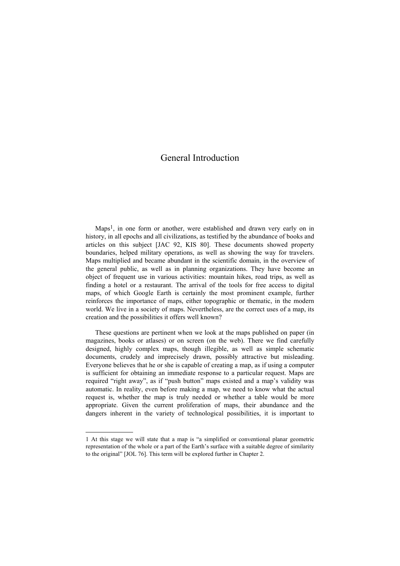## General Introduction

Maps<sup>1</sup>, in one form or another, were established and drawn very early on in history, in all epochs and all civilizations, as testified by the abundance of books and articles on this subject [JAC 92, KIS 80]. These documents showed property boundaries, helped military operations, as well as showing the way for travelers. Maps multiplied and became abundant in the scientific domain, in the overview of the general public, as well as in planning organizations. They have become an object of frequent use in various activities: mountain hikes, road trips, as well as finding a hotel or a restaurant. The arrival of the tools for free access to digital maps, of which Google Earth is certainly the most prominent example, further reinforces the importance of maps, either topographic or thematic, in the modern world. We live in a society of maps. Nevertheless, are the correct uses of a map, its creation and the possibilities it offers well known?

These questions are pertinent when we look at the maps published on paper (in magazines, books or atlases) or on screen (on the web). There we find carefully designed, highly complex maps, though illegible, as well as simple schematic documents, crudely and imprecisely drawn, possibly attractive but misleading. Everyone believes that he or she is capable of creating a map, as if using a computer is sufficient for obtaining an immediate response to a particular request. Maps are required "right away", as if "push button" maps existed and a map's validity was automatic. In reality, even before making a map, we need to know what the actual request is, whether the map is truly needed or whether a table would be more appropriate. Given the current proliferation of maps, their abundance and the dangers inherent in the variety of technological possibilities, it is important to

 $\overline{a}$ 

<sup>1</sup> At this stage we will state that a map is "a simplified or conventional planar geometric representation of the whole or a part of the Earth's surface with a suitable degree of similarity to the original" [JOL 76]. This term will be explored further in Chapter 2.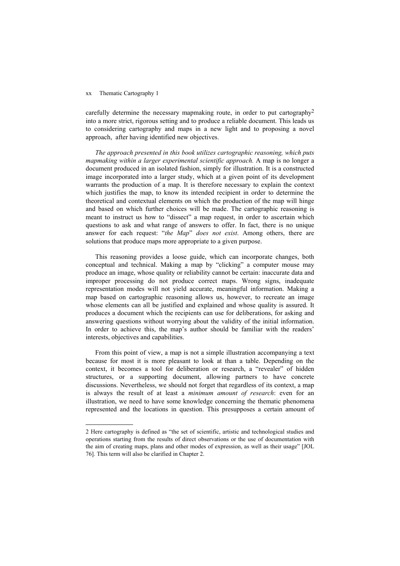## xx Thematic Cartography 1

 $\overline{a}$ 

carefully determine the necessary mapmaking route, in order to put cartography2 into a more strict, rigorous setting and to produce a reliable document. This leads us to considering cartography and maps in a new light and to proposing a novel approach, after having identified new objectives.

*The approach presented in this book utilizes cartographic reasoning, which puts mapmaking within a larger experimental scientific approach.* A map is no longer a document produced in an isolated fashion, simply for illustration. It is a constructed image incorporated into a larger study, which at a given point of its development warrants the production of a map. It is therefore necessary to explain the context which justifies the map, to know its intended recipient in order to determine the theoretical and contextual elements on which the production of the map will hinge and based on which further choices will be made. The cartographic reasoning is meant to instruct us how to "dissect" a map request, in order to ascertain which questions to ask and what range of answers to offer. In fact, there is no unique answer for each request: "*the Map*" *does not exist*. Among others, there are solutions that produce maps more appropriate to a given purpose.

This reasoning provides a loose guide, which can incorporate changes, both conceptual and technical. Making a map by "clicking" a computer mouse may produce an image, whose quality or reliability cannot be certain: inaccurate data and improper processing do not produce correct maps. Wrong signs, inadequate representation modes will not yield accurate, meaningful information. Making a map based on cartographic reasoning allows us, however, to recreate an image whose elements can all be justified and explained and whose quality is assured. It produces a document which the recipients can use for deliberations, for asking and answering questions without worrying about the validity of the initial information. In order to achieve this, the map's author should be familiar with the readers' interests, objectives and capabilities.

From this point of view, a map is not a simple illustration accompanying a text because for most it is more pleasant to look at than a table. Depending on the context, it becomes a tool for deliberation or research, a "revealer" of hidden structures, or a supporting document, allowing partners to have concrete discussions. Nevertheless, we should not forget that regardless of its context, a map is always the result of at least a *minimum amount of research*: even for an illustration, we need to have some knowledge concerning the thematic phenomena represented and the locations in question. This presupposes a certain amount of

<sup>2</sup> Here cartography is defined as "the set of scientific, artistic and technological studies and operations starting from the results of direct observations or the use of documentation with the aim of creating maps, plans and other modes of expression, as well as their usage" [JOL 76]. This term will also be clarified in Chapter 2.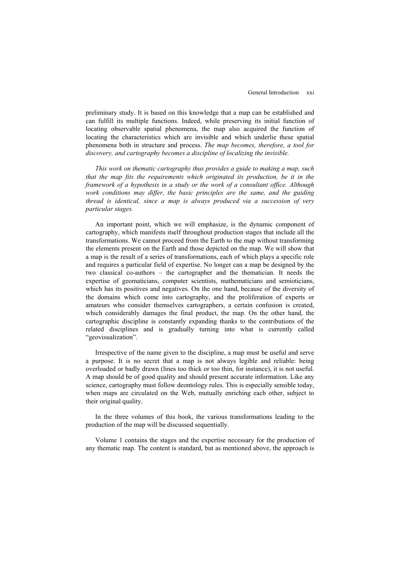preliminary study. It is based on this knowledge that a map can be established and can fulfill its multiple functions. Indeed, while preserving its initial function of locating observable spatial phenomena, the map also acquired the function of locating the characteristics which are invisible and which underlie these spatial phenomena both in structure and process. *The map becomes, therefore, a tool for discovery, and cartography becomes a discipline of localizing the invisible.* 

*This work on thematic cartography thus provides a guide to making a map, such that the map fits the requirements which originated its production, be it in the framework of a hypothesis in a study or the work of a consultant office. Although work conditions may differ, the basic principles are the same, and the guiding thread is identical, since a map is always produced via a succession of very particular stages.* 

An important point, which we will emphasize, is the dynamic component of cartography, which manifests itself throughout production stages that include all the transformations. We cannot proceed from the Earth to the map without transforming the elements present on the Earth and those depicted on the map. We will show that a map is the result of a series of transformations, each of which plays a specific role and requires a particular field of expertise. No longer can a map be designed by the two classical co-authors – the cartographer and the thematician. It needs the expertise of geomaticians, computer scientists, mathematicians and semioticians, which has its positives and negatives. On the one hand, because of the diversity of the domains which come into cartography, and the proliferation of experts or amateurs who consider themselves cartographers, a certain confusion is created, which considerably damages the final product, the map. On the other hand, the cartographic discipline is constantly expanding thanks to the contributions of the related disciplines and is gradually turning into what is currently called "geovisualization".

Irrespective of the name given to the discipline, a map must be useful and serve a purpose. It is no secret that a map is not always legible and reliable: being overloaded or badly drawn (lines too thick or too thin, for instance), it is not useful. A map should be of good quality and should present accurate information. Like any science, cartography must follow deontology rules. This is especially sensible today, when maps are circulated on the Web, mutually enriching each other, subject to their original quality.

In the three volumes of this book, the various transformations leading to the production of the map will be discussed sequentially.

Volume 1 contains the stages and the expertise necessary for the production of any thematic map. The content is standard, but as mentioned above, the approach is